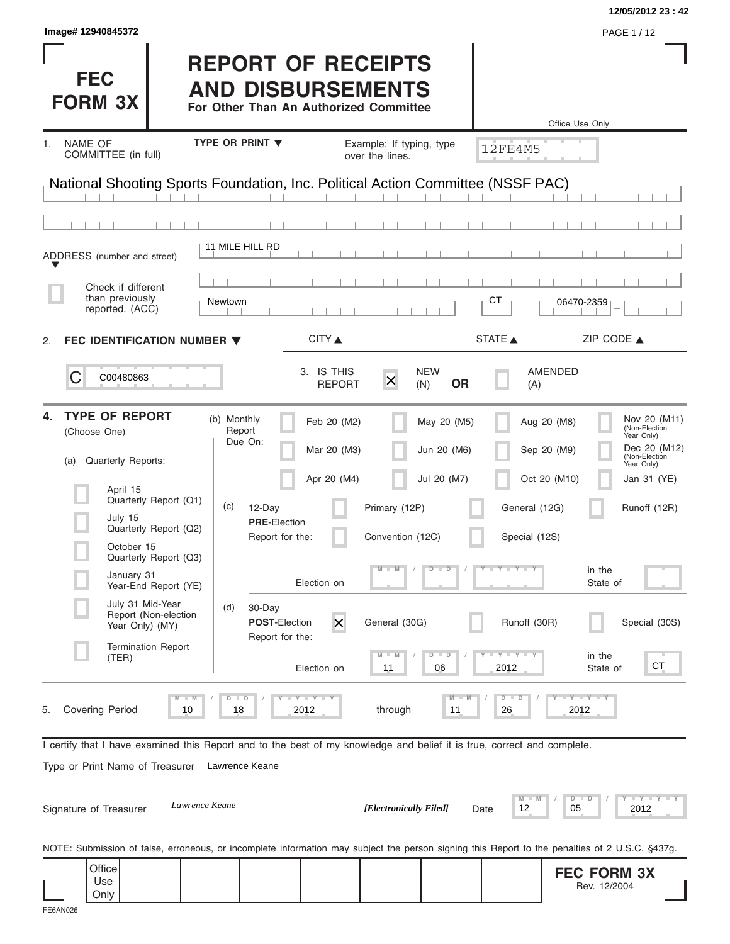| Image# 12940845372<br>PAGE 1/12<br><b>REPORT OF RECEIPTS</b><br><b>FEC</b><br><b>AND DISBURSEMENTS</b><br><b>FORM 3X</b><br>For Other Than An Authorized Committee<br>Office Use Only<br>TYPE OR PRINT V<br><b>NAME OF</b><br>Example: If typing, type<br>1.<br><b>12FE4M5</b><br>COMMITTEE (in full)<br>over the lines.<br>National Shooting Sports Foundation, Inc. Political Action Committee (NSSF PAC)<br>11 MILE HILL RD<br>ADDRESS (number and street)<br>Check if different<br>than previously<br>CТ<br><b>Newtown</b><br>06470-2359<br>reported. (ACC)<br>STATE A<br>CITY ▲<br>ZIP CODE $\triangle$<br>FEC IDENTIFICATION NUMBER $\blacktriangledown$<br>2.<br>3. IS THIS<br><b>NEW</b><br>AMENDED<br>C<br>C00480863<br>$\times$<br><b>OR</b><br><b>REPORT</b><br>(A)<br>(N)<br><b>TYPE OF REPORT</b><br>4.<br>(b) Monthly<br>Nov 20 (M11)<br>Feb 20 (M2)<br>May 20 (M5)<br>Aug 20 (M8)<br>(Non-Election<br>Report<br>(Choose One)<br>Year Only)<br>Due On:<br>Dec 20 (M12)<br>Mar 20 (M3)<br>Jun 20 (M6)<br>Sep 20 (M9)<br>(Non-Election<br>Quarterly Reports:<br>(a)<br>Year Only)<br>Oct 20 (M10)<br>Apr 20 (M4)<br>Jul 20 (M7)<br>Jan 31 (YE)<br>April 15<br>Quarterly Report (Q1)<br>(c)<br>12-Day<br>Primary (12P)<br>General (12G)<br>Runoff (12R)<br>July 15<br><b>PRE-Election</b><br>Quarterly Report (Q2)<br>Report for the:<br>Convention (12C)<br>Special (12S)<br>October 15<br>Quarterly Report (Q3)<br>Y Y Y Y J<br>$\overline{D}$<br>$\Box$<br>in the<br>January 31<br>Election on<br>State of<br>Year-End Report (YE)<br>July 31 Mid-Year<br>(d)<br>30-Day<br>Report (Non-election<br>$\overline{\mathsf{x}}$<br><b>POST-Election</b><br>General (30G)<br>Runoff (30R)<br>Special (30S)<br>Year Only) (MY)<br>Report for the:<br><b>Termination Report</b><br>$D - D$<br>$\mathsf{I} \mathsf{I} \mathsf{Y} \mathsf{I} \mathsf{I} \mathsf{Y}$<br>$-W$<br>in the<br>(TER)<br>CT<br>2012<br>Election on<br>11<br>06<br>State of<br>$T - Y = T - Y$<br>$T - Y$ $T - Y$<br>$\blacksquare$<br>$D$ $D$<br>$D - D$<br>M<br>$\overline{\mathsf{M}}$<br><b>Covering Period</b><br>10<br>18<br>2012<br>through<br>26<br>2012<br>11<br>5.<br>I certify that I have examined this Report and to the best of my knowledge and belief it is true, correct and complete.<br>Type or Print Name of Treasurer<br>Lawrence Keane<br>$\bot$ $\gamma$ $\bot$ $\gamma$ $\bot$ $\gamma$<br>M<br>$D$ $D$<br>Lawrence Keane<br>12<br>[Electronically Filed]<br>05<br>Signature of Treasurer<br>2012<br>Date<br>NOTE: Submission of false, erroneous, or incomplete information may subject the person signing this Report to the penalties of 2 U.S.C. §437g.<br>Office<br><b>FEC FORM 3X</b><br>Use<br>Rev. 12/2004<br>Only |  |  |  | 12/05/2012 23:42 |
|--------------------------------------------------------------------------------------------------------------------------------------------------------------------------------------------------------------------------------------------------------------------------------------------------------------------------------------------------------------------------------------------------------------------------------------------------------------------------------------------------------------------------------------------------------------------------------------------------------------------------------------------------------------------------------------------------------------------------------------------------------------------------------------------------------------------------------------------------------------------------------------------------------------------------------------------------------------------------------------------------------------------------------------------------------------------------------------------------------------------------------------------------------------------------------------------------------------------------------------------------------------------------------------------------------------------------------------------------------------------------------------------------------------------------------------------------------------------------------------------------------------------------------------------------------------------------------------------------------------------------------------------------------------------------------------------------------------------------------------------------------------------------------------------------------------------------------------------------------------------------------------------------------------------------------------------------------------------------------------------------------------------------------------------------------------------------------------------------------------------------------------------------------------------------------------------------------------------------------------------------------------------------------------------------------------------------------------------------------------------------------------------------------------------------------------------------------------------------------------------------------------------------------------------------------------------------------------------------------------------------------------------------------------------------------------------------------------------------------|--|--|--|------------------|
|                                                                                                                                                                                                                                                                                                                                                                                                                                                                                                                                                                                                                                                                                                                                                                                                                                                                                                                                                                                                                                                                                                                                                                                                                                                                                                                                                                                                                                                                                                                                                                                                                                                                                                                                                                                                                                                                                                                                                                                                                                                                                                                                                                                                                                                                                                                                                                                                                                                                                                                                                                                                                                                                                                                                |  |  |  |                  |
|                                                                                                                                                                                                                                                                                                                                                                                                                                                                                                                                                                                                                                                                                                                                                                                                                                                                                                                                                                                                                                                                                                                                                                                                                                                                                                                                                                                                                                                                                                                                                                                                                                                                                                                                                                                                                                                                                                                                                                                                                                                                                                                                                                                                                                                                                                                                                                                                                                                                                                                                                                                                                                                                                                                                |  |  |  |                  |
|                                                                                                                                                                                                                                                                                                                                                                                                                                                                                                                                                                                                                                                                                                                                                                                                                                                                                                                                                                                                                                                                                                                                                                                                                                                                                                                                                                                                                                                                                                                                                                                                                                                                                                                                                                                                                                                                                                                                                                                                                                                                                                                                                                                                                                                                                                                                                                                                                                                                                                                                                                                                                                                                                                                                |  |  |  |                  |
|                                                                                                                                                                                                                                                                                                                                                                                                                                                                                                                                                                                                                                                                                                                                                                                                                                                                                                                                                                                                                                                                                                                                                                                                                                                                                                                                                                                                                                                                                                                                                                                                                                                                                                                                                                                                                                                                                                                                                                                                                                                                                                                                                                                                                                                                                                                                                                                                                                                                                                                                                                                                                                                                                                                                |  |  |  |                  |
|                                                                                                                                                                                                                                                                                                                                                                                                                                                                                                                                                                                                                                                                                                                                                                                                                                                                                                                                                                                                                                                                                                                                                                                                                                                                                                                                                                                                                                                                                                                                                                                                                                                                                                                                                                                                                                                                                                                                                                                                                                                                                                                                                                                                                                                                                                                                                                                                                                                                                                                                                                                                                                                                                                                                |  |  |  |                  |
|                                                                                                                                                                                                                                                                                                                                                                                                                                                                                                                                                                                                                                                                                                                                                                                                                                                                                                                                                                                                                                                                                                                                                                                                                                                                                                                                                                                                                                                                                                                                                                                                                                                                                                                                                                                                                                                                                                                                                                                                                                                                                                                                                                                                                                                                                                                                                                                                                                                                                                                                                                                                                                                                                                                                |  |  |  |                  |
|                                                                                                                                                                                                                                                                                                                                                                                                                                                                                                                                                                                                                                                                                                                                                                                                                                                                                                                                                                                                                                                                                                                                                                                                                                                                                                                                                                                                                                                                                                                                                                                                                                                                                                                                                                                                                                                                                                                                                                                                                                                                                                                                                                                                                                                                                                                                                                                                                                                                                                                                                                                                                                                                                                                                |  |  |  |                  |
|                                                                                                                                                                                                                                                                                                                                                                                                                                                                                                                                                                                                                                                                                                                                                                                                                                                                                                                                                                                                                                                                                                                                                                                                                                                                                                                                                                                                                                                                                                                                                                                                                                                                                                                                                                                                                                                                                                                                                                                                                                                                                                                                                                                                                                                                                                                                                                                                                                                                                                                                                                                                                                                                                                                                |  |  |  |                  |
|                                                                                                                                                                                                                                                                                                                                                                                                                                                                                                                                                                                                                                                                                                                                                                                                                                                                                                                                                                                                                                                                                                                                                                                                                                                                                                                                                                                                                                                                                                                                                                                                                                                                                                                                                                                                                                                                                                                                                                                                                                                                                                                                                                                                                                                                                                                                                                                                                                                                                                                                                                                                                                                                                                                                |  |  |  |                  |
|                                                                                                                                                                                                                                                                                                                                                                                                                                                                                                                                                                                                                                                                                                                                                                                                                                                                                                                                                                                                                                                                                                                                                                                                                                                                                                                                                                                                                                                                                                                                                                                                                                                                                                                                                                                                                                                                                                                                                                                                                                                                                                                                                                                                                                                                                                                                                                                                                                                                                                                                                                                                                                                                                                                                |  |  |  |                  |
|                                                                                                                                                                                                                                                                                                                                                                                                                                                                                                                                                                                                                                                                                                                                                                                                                                                                                                                                                                                                                                                                                                                                                                                                                                                                                                                                                                                                                                                                                                                                                                                                                                                                                                                                                                                                                                                                                                                                                                                                                                                                                                                                                                                                                                                                                                                                                                                                                                                                                                                                                                                                                                                                                                                                |  |  |  |                  |
|                                                                                                                                                                                                                                                                                                                                                                                                                                                                                                                                                                                                                                                                                                                                                                                                                                                                                                                                                                                                                                                                                                                                                                                                                                                                                                                                                                                                                                                                                                                                                                                                                                                                                                                                                                                                                                                                                                                                                                                                                                                                                                                                                                                                                                                                                                                                                                                                                                                                                                                                                                                                                                                                                                                                |  |  |  |                  |
|                                                                                                                                                                                                                                                                                                                                                                                                                                                                                                                                                                                                                                                                                                                                                                                                                                                                                                                                                                                                                                                                                                                                                                                                                                                                                                                                                                                                                                                                                                                                                                                                                                                                                                                                                                                                                                                                                                                                                                                                                                                                                                                                                                                                                                                                                                                                                                                                                                                                                                                                                                                                                                                                                                                                |  |  |  |                  |
|                                                                                                                                                                                                                                                                                                                                                                                                                                                                                                                                                                                                                                                                                                                                                                                                                                                                                                                                                                                                                                                                                                                                                                                                                                                                                                                                                                                                                                                                                                                                                                                                                                                                                                                                                                                                                                                                                                                                                                                                                                                                                                                                                                                                                                                                                                                                                                                                                                                                                                                                                                                                                                                                                                                                |  |  |  |                  |
|                                                                                                                                                                                                                                                                                                                                                                                                                                                                                                                                                                                                                                                                                                                                                                                                                                                                                                                                                                                                                                                                                                                                                                                                                                                                                                                                                                                                                                                                                                                                                                                                                                                                                                                                                                                                                                                                                                                                                                                                                                                                                                                                                                                                                                                                                                                                                                                                                                                                                                                                                                                                                                                                                                                                |  |  |  |                  |
|                                                                                                                                                                                                                                                                                                                                                                                                                                                                                                                                                                                                                                                                                                                                                                                                                                                                                                                                                                                                                                                                                                                                                                                                                                                                                                                                                                                                                                                                                                                                                                                                                                                                                                                                                                                                                                                                                                                                                                                                                                                                                                                                                                                                                                                                                                                                                                                                                                                                                                                                                                                                                                                                                                                                |  |  |  |                  |
|                                                                                                                                                                                                                                                                                                                                                                                                                                                                                                                                                                                                                                                                                                                                                                                                                                                                                                                                                                                                                                                                                                                                                                                                                                                                                                                                                                                                                                                                                                                                                                                                                                                                                                                                                                                                                                                                                                                                                                                                                                                                                                                                                                                                                                                                                                                                                                                                                                                                                                                                                                                                                                                                                                                                |  |  |  |                  |
|                                                                                                                                                                                                                                                                                                                                                                                                                                                                                                                                                                                                                                                                                                                                                                                                                                                                                                                                                                                                                                                                                                                                                                                                                                                                                                                                                                                                                                                                                                                                                                                                                                                                                                                                                                                                                                                                                                                                                                                                                                                                                                                                                                                                                                                                                                                                                                                                                                                                                                                                                                                                                                                                                                                                |  |  |  |                  |
|                                                                                                                                                                                                                                                                                                                                                                                                                                                                                                                                                                                                                                                                                                                                                                                                                                                                                                                                                                                                                                                                                                                                                                                                                                                                                                                                                                                                                                                                                                                                                                                                                                                                                                                                                                                                                                                                                                                                                                                                                                                                                                                                                                                                                                                                                                                                                                                                                                                                                                                                                                                                                                                                                                                                |  |  |  |                  |
|                                                                                                                                                                                                                                                                                                                                                                                                                                                                                                                                                                                                                                                                                                                                                                                                                                                                                                                                                                                                                                                                                                                                                                                                                                                                                                                                                                                                                                                                                                                                                                                                                                                                                                                                                                                                                                                                                                                                                                                                                                                                                                                                                                                                                                                                                                                                                                                                                                                                                                                                                                                                                                                                                                                                |  |  |  |                  |
|                                                                                                                                                                                                                                                                                                                                                                                                                                                                                                                                                                                                                                                                                                                                                                                                                                                                                                                                                                                                                                                                                                                                                                                                                                                                                                                                                                                                                                                                                                                                                                                                                                                                                                                                                                                                                                                                                                                                                                                                                                                                                                                                                                                                                                                                                                                                                                                                                                                                                                                                                                                                                                                                                                                                |  |  |  |                  |
|                                                                                                                                                                                                                                                                                                                                                                                                                                                                                                                                                                                                                                                                                                                                                                                                                                                                                                                                                                                                                                                                                                                                                                                                                                                                                                                                                                                                                                                                                                                                                                                                                                                                                                                                                                                                                                                                                                                                                                                                                                                                                                                                                                                                                                                                                                                                                                                                                                                                                                                                                                                                                                                                                                                                |  |  |  |                  |
|                                                                                                                                                                                                                                                                                                                                                                                                                                                                                                                                                                                                                                                                                                                                                                                                                                                                                                                                                                                                                                                                                                                                                                                                                                                                                                                                                                                                                                                                                                                                                                                                                                                                                                                                                                                                                                                                                                                                                                                                                                                                                                                                                                                                                                                                                                                                                                                                                                                                                                                                                                                                                                                                                                                                |  |  |  |                  |
|                                                                                                                                                                                                                                                                                                                                                                                                                                                                                                                                                                                                                                                                                                                                                                                                                                                                                                                                                                                                                                                                                                                                                                                                                                                                                                                                                                                                                                                                                                                                                                                                                                                                                                                                                                                                                                                                                                                                                                                                                                                                                                                                                                                                                                                                                                                                                                                                                                                                                                                                                                                                                                                                                                                                |  |  |  |                  |
|                                                                                                                                                                                                                                                                                                                                                                                                                                                                                                                                                                                                                                                                                                                                                                                                                                                                                                                                                                                                                                                                                                                                                                                                                                                                                                                                                                                                                                                                                                                                                                                                                                                                                                                                                                                                                                                                                                                                                                                                                                                                                                                                                                                                                                                                                                                                                                                                                                                                                                                                                                                                                                                                                                                                |  |  |  |                  |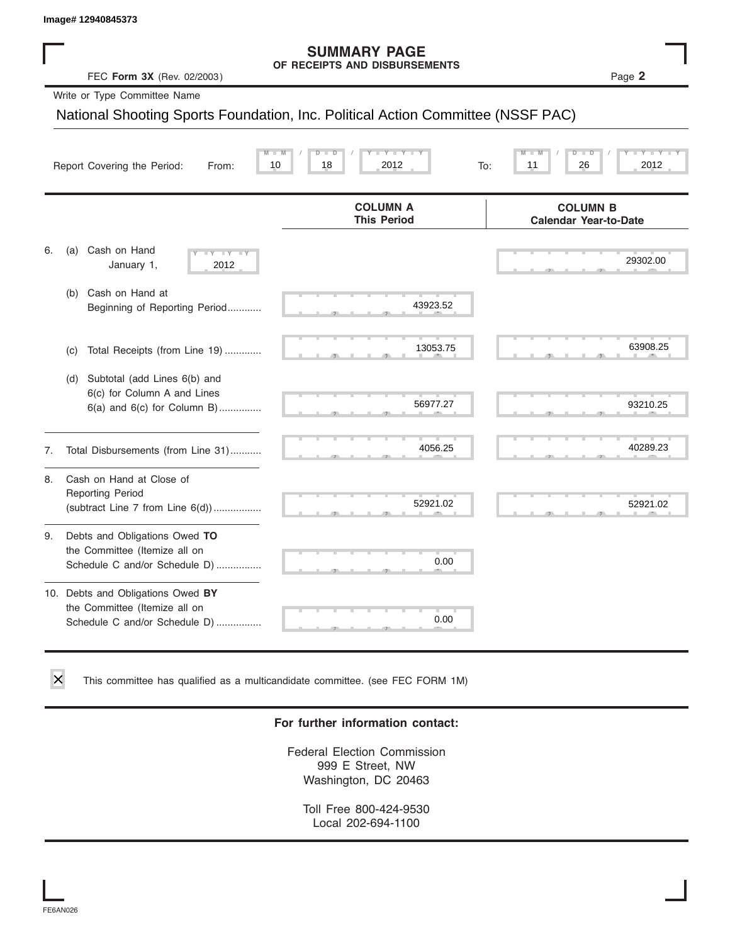### **SUMMARY PAGE OF RECEIPTS AND DISBURSEMENTS**

|    | lmage# 12940845373                                                                                    |                                                                                 |                                                 |
|----|-------------------------------------------------------------------------------------------------------|---------------------------------------------------------------------------------|-------------------------------------------------|
|    | FEC Form 3X (Rev. 02/2003)                                                                            | <b>SUMMARY PAGE</b><br>OF RECEIPTS AND DISBURSEMENTS                            | Page 2                                          |
|    | Write or Type Committee Name                                                                          |                                                                                 |                                                 |
|    |                                                                                                       | National Shooting Sports Foundation, Inc. Political Action Committee (NSSF PAC) |                                                 |
|    | Report Covering the Period:<br>From:                                                                  | $Y - Y$<br>D<br>2012<br>10<br>18<br>To:                                         | 11<br>26<br>2012                                |
|    |                                                                                                       | <b>COLUMN A</b><br><b>This Period</b>                                           | <b>COLUMN B</b><br><b>Calendar Year-to-Date</b> |
| 6. | Cash on Hand<br>(a)<br>$-Y$<br>January 1,<br>2012                                                     |                                                                                 | 29302.00                                        |
|    | Cash on Hand at<br>(b)<br>Beginning of Reporting Period                                               | 43923.52                                                                        |                                                 |
|    | Total Receipts (from Line 19)<br>(c)                                                                  | 13053.75                                                                        | 63908.25                                        |
|    | Subtotal (add Lines 6(b) and<br>(d)<br>6(c) for Column A and Lines<br>$6(a)$ and $6(c)$ for Column B) | 56977.27                                                                        | 93210.25                                        |
| 7. | Total Disbursements (from Line 31)                                                                    | 4056.25                                                                         | 40289.23                                        |
| 8. | Cash on Hand at Close of<br><b>Reporting Period</b><br>(subtract Line $7$ from Line $6(d)$ )          | 52921.02                                                                        | 52921.02                                        |
| 9. | Debts and Obligations Owed TO<br>the Committee (Itemize all on<br>Schedule C and/or Schedule D)       | 0.00                                                                            |                                                 |
|    | 10. Debts and Obligations Owed BY<br>the Committee (Itemize all on<br>Schedule C and/or Schedule D)   | 0.00                                                                            |                                                 |

This committee has qualified as a multicandidate committee. (see FEC FORM 1M)

### **For further information contact:**

Federal Election Commission 999 E Street, NW Washington, DC 20463

Toll Free 800-424-9530 Local 202-694-1100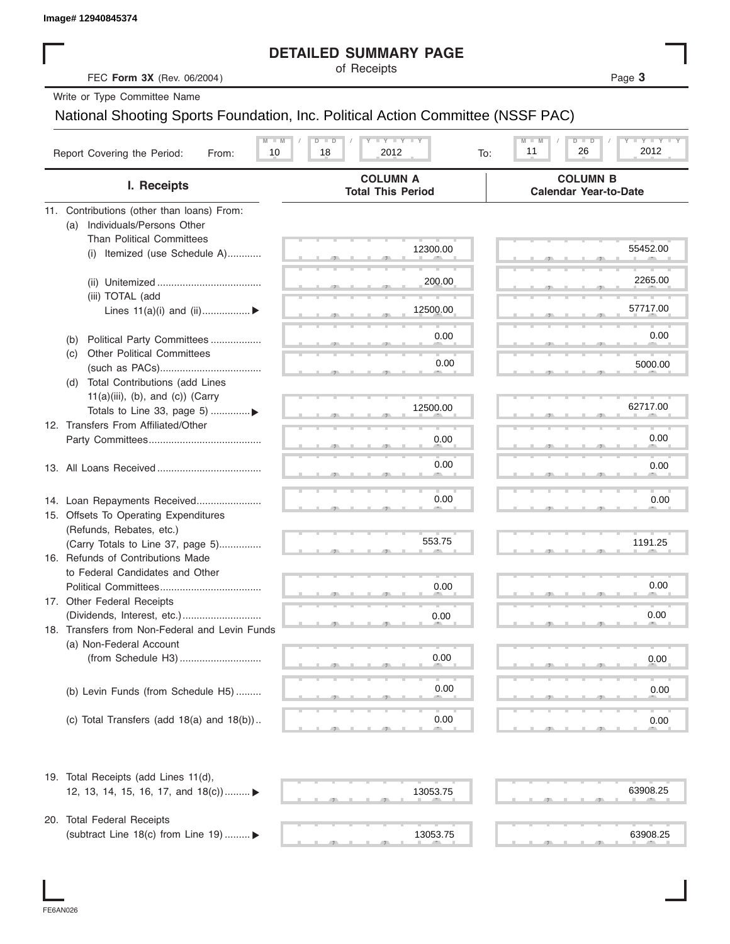|                                                                                 | <b>DETAILED SUMMARY PAGE</b><br>of Receipts                    |                                                                                                            |
|---------------------------------------------------------------------------------|----------------------------------------------------------------|------------------------------------------------------------------------------------------------------------|
| FEC Form 3X (Rev. 06/2004)                                                      |                                                                | Page 3                                                                                                     |
| Write or Type Committee Name                                                    |                                                                |                                                                                                            |
| National Shooting Sports Foundation, Inc. Political Action Committee (NSSF PAC) |                                                                |                                                                                                            |
| $M - M$<br>Report Covering the Period:<br>10<br>From:                           | $T - Y = T - Y = T - Y$<br>$D$ $\Box$ $D$<br>2012<br>18<br>To: | $\mathbf{I} = \mathbf{Y} - \mathbf{I} - \mathbf{Y} - \mathbf{I}$<br>$M - M$<br>$D$ $D$<br>26<br>2012<br>11 |
| I. Receipts                                                                     | <b>COLUMN A</b><br><b>Total This Period</b>                    | <b>COLUMN B</b><br><b>Calendar Year-to-Date</b>                                                            |
| 11. Contributions (other than loans) From:                                      |                                                                |                                                                                                            |
| Individuals/Persons Other<br>(a)<br><b>Than Political Committees</b>            |                                                                |                                                                                                            |
| Itemized (use Schedule A)<br>(i)                                                | 12300.00                                                       | 55452.00                                                                                                   |
|                                                                                 |                                                                |                                                                                                            |
|                                                                                 | 200.00                                                         | 2265.00                                                                                                    |
| (iii) TOTAL (add                                                                | 12500.00                                                       | 57717.00                                                                                                   |
| Lines $11(a)(i)$ and $(ii)$                                                     |                                                                |                                                                                                            |
| Political Party Committees<br>(b)                                               | 0.00                                                           | 0.00                                                                                                       |
| <b>Other Political Committees</b><br>(C)                                        | 0.00                                                           |                                                                                                            |
|                                                                                 |                                                                | 5000.00                                                                                                    |
| Total Contributions (add Lines<br>(d)<br>$11(a)(iii)$ , (b), and (c)) (Carry    |                                                                |                                                                                                            |
| Totals to Line 33, page 5) ▶                                                    | 12500.00                                                       | 62717.00                                                                                                   |
| 12. Transfers From Affiliated/Other                                             |                                                                |                                                                                                            |
|                                                                                 | 0.00                                                           | 0.00                                                                                                       |
|                                                                                 | 0.00                                                           | 0.00                                                                                                       |
|                                                                                 |                                                                |                                                                                                            |
| 14. Loan Repayments Received                                                    | 0.00                                                           | 0.00                                                                                                       |
| 15. Offsets To Operating Expenditures                                           |                                                                |                                                                                                            |
| (Refunds, Rebates, etc.)                                                        |                                                                |                                                                                                            |
| (Carry Totals to Line 37, page 5)<br>16. Refunds of Contributions Made          | 553.75                                                         | 1191.25                                                                                                    |
| to Federal Candidates and Other                                                 |                                                                |                                                                                                            |
| Political Committees                                                            | 0.00                                                           | 0.00                                                                                                       |
| 17. Other Federal Receipts                                                      |                                                                |                                                                                                            |
|                                                                                 | 0.00                                                           | 0.00                                                                                                       |
| 18. Transfers from Non-Federal and Levin Funds<br>(a) Non-Federal Account       |                                                                |                                                                                                            |
|                                                                                 | 0.00                                                           | 0.00                                                                                                       |
|                                                                                 |                                                                |                                                                                                            |
| (b) Levin Funds (from Schedule H5)                                              | 0.00                                                           | 0.00                                                                                                       |
|                                                                                 |                                                                |                                                                                                            |
| (c) Total Transfers (add $18(a)$ and $18(b)$ )                                  | 0.00                                                           | 0.00                                                                                                       |
| 19. Total Receipts (add Lines 11(d),                                            |                                                                |                                                                                                            |
| 12, 13, 14, 15, 16, 17, and $18(c)$                                             | 13053.75                                                       | 63908.25                                                                                                   |
| 20. Total Federal Receipts                                                      |                                                                |                                                                                                            |
| (subtract Line 18(c) from Line 19)  ▶                                           | 13053.75                                                       | 63908.25                                                                                                   |
|                                                                                 |                                                                |                                                                                                            |

I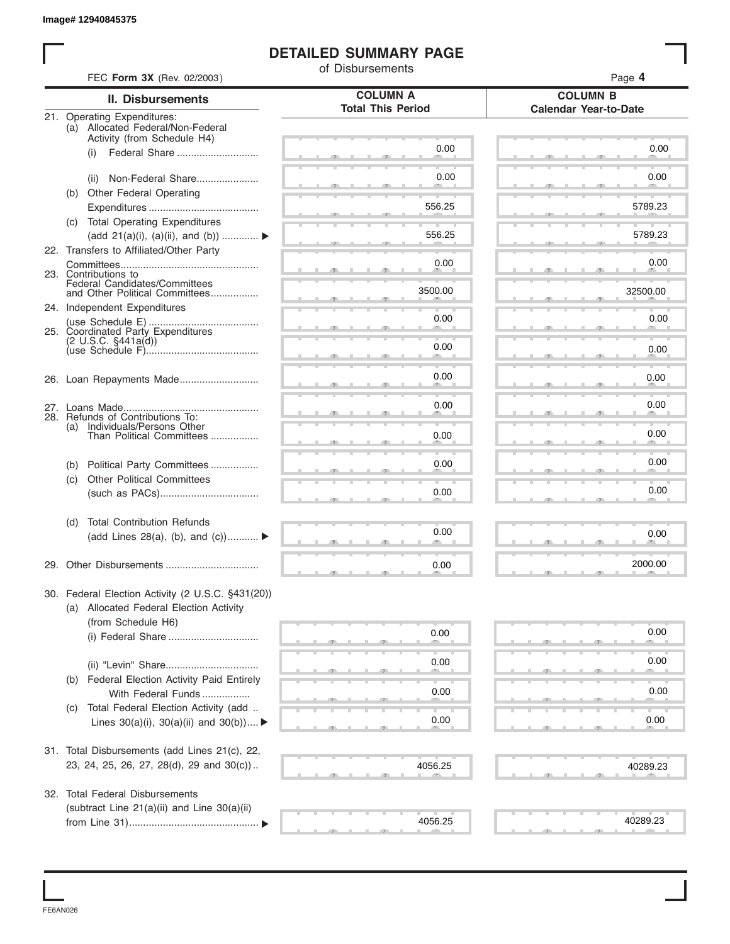## **DETAILED SUMMARY PAGE**

|     | FEC Form 3X (Rev. 02/2003)                                                          | of Disbursements         | Page 4                       |
|-----|-------------------------------------------------------------------------------------|--------------------------|------------------------------|
|     | <b>II. Disbursements</b>                                                            | <b>COLUMN A</b>          | <b>COLUMN B</b>              |
|     | 21. Operating Expenditures:                                                         | <b>Total This Period</b> | <b>Calendar Year-to-Date</b> |
|     | (a) Allocated Federal/Non-Federal                                                   |                          |                              |
|     | Activity (from Schedule H4)<br>(i)                                                  | 0.00                     | 0.00                         |
|     |                                                                                     |                          |                              |
|     | Non-Federal Share<br>(ii)                                                           | 0.00                     | 0.00                         |
|     | (b) Other Federal Operating                                                         |                          |                              |
|     |                                                                                     | 556.25                   | 5789.23                      |
|     | (c) Total Operating Expenditures<br>(add 21(a)(i), (a)(ii), and (b))  ▶             | 556.25                   | 5789.23                      |
|     | 22. Transfers to Affiliated/Other Party                                             |                          |                              |
|     |                                                                                     | 0.00                     | 0.00                         |
|     | 23. Contributions to<br>Federal Candidates/Committees                               |                          |                              |
|     | and Other Political Committees                                                      | 3500.00                  | 32500.00                     |
|     | 24. Independent Expenditures                                                        | 0.00                     | 0.00                         |
|     | 25. Coordinated Party Expenditures                                                  |                          |                              |
|     |                                                                                     | 0.00                     | 0.00                         |
|     |                                                                                     |                          |                              |
|     |                                                                                     | 0.00                     | 0.00                         |
|     |                                                                                     |                          |                              |
|     | 28. Refunds of Contributions To:                                                    | 0.00                     | 0.00                         |
| (a) | Individuals/Persons Other<br>Than Political Committees                              | 0.00                     | 0.00                         |
|     |                                                                                     |                          |                              |
| (b) | Political Party Committees                                                          | 0.00                     | 0.00                         |
| (c) | <b>Other Political Committees</b>                                                   |                          |                              |
|     |                                                                                     | 0.00                     | 0.00                         |
| (d) | <b>Total Contribution Refunds</b>                                                   |                          |                              |
|     | (add Lines 28(a), (b), and (c))                                                     | 0.00                     | 0.00                         |
|     |                                                                                     | 0.00                     | 2000.00                      |
|     |                                                                                     |                          |                              |
|     | 30. Federal Election Activity (2 U.S.C. §431(20))                                   |                          |                              |
|     | (a) Allocated Federal Election Activity<br>(from Schedule H6)                       |                          |                              |
|     |                                                                                     | 0.00                     | 0.00                         |
|     |                                                                                     |                          |                              |
|     |                                                                                     | 0.00                     | 0.00                         |
| (b) | Federal Election Activity Paid Entirely                                             |                          |                              |
|     | With Federal Funds                                                                  | 0.00                     | 0.00                         |
| (C) | Total Federal Election Activity (add<br>Lines $30(a)(i)$ , $30(a)(ii)$ and $30(b))$ | 0.00                     | 0.00                         |
|     |                                                                                     |                          |                              |
|     | 31. Total Disbursements (add Lines 21(c), 22,                                       |                          |                              |
|     | 23, 24, 25, 26, 27, 28(d), 29 and 30(c))                                            | 4056.25                  | 40289.23                     |
|     |                                                                                     |                          |                              |
|     | 32. Total Federal Disbursements                                                     |                          |                              |
|     | (subtract Line 21(a)(ii) and Line 30(a)(ii)                                         | 4056.25                  | 40289.23                     |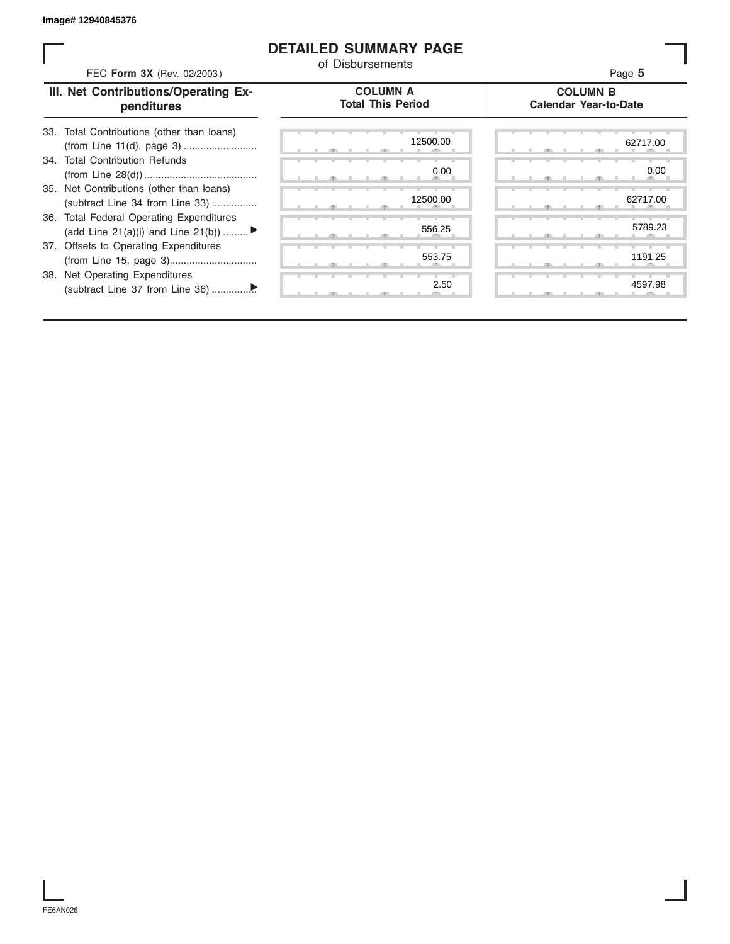## **DETAILED SUMMARY PAGE**

| FEC Form 3X (Rev. 02/2003)                                                     | of Disbursements                            | Page 5                                          |
|--------------------------------------------------------------------------------|---------------------------------------------|-------------------------------------------------|
| III. Net Contributions/Operating Ex-<br>penditures                             | <b>COLUMN A</b><br><b>Total This Period</b> | <b>COLUMN B</b><br><b>Calendar Year-to-Date</b> |
| 33. Total Contributions (other than loans)                                     | 12500.00                                    | 62717.00                                        |
| 34. Total Contribution Refunds                                                 | 0.00                                        | 0.00                                            |
| 35. Net Contributions (other than loans)<br>(subtract Line 34 from Line 33)    | 12500.00                                    | 62717.00                                        |
| 36. Total Federal Operating Expenditures<br>(add Line 21(a)(i) and Line 21(b)) | 556.25                                      | 5789.23                                         |
| 37. Offsets to Operating Expenditures                                          | 553.75                                      | 1191.25                                         |
| 38. Net Operating Expenditures                                                 | 2.50                                        | 4597.98                                         |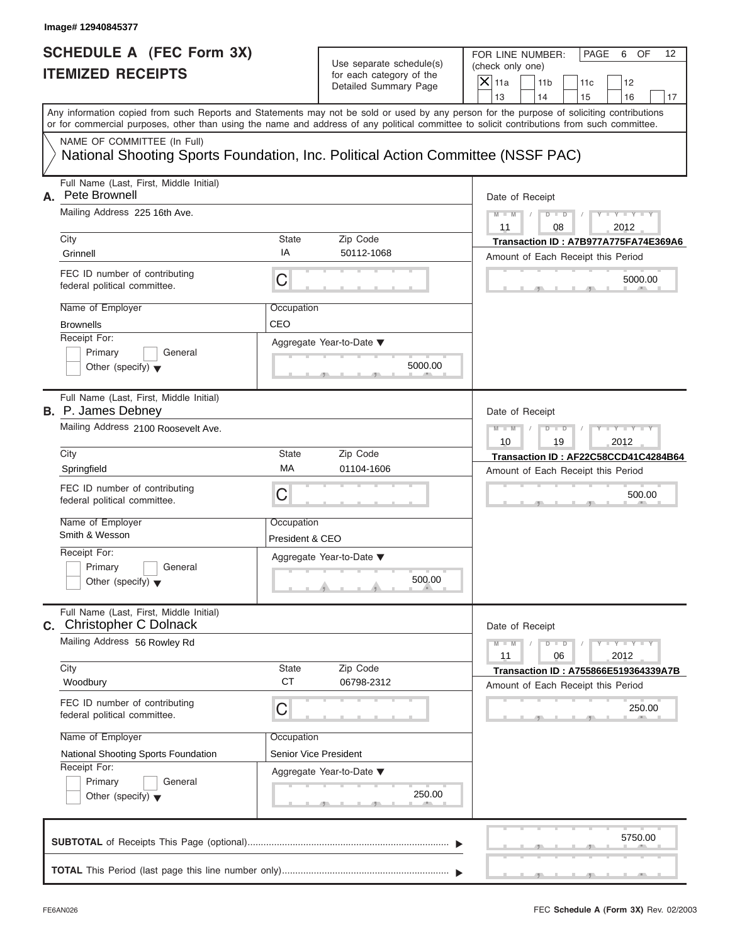# **SCHEDULE A (FEC Form 3X) ITEMIZED RECEIPTS**

FOR LINE NUMBER: PAGE 6 OF<br>(check only one)

| SCHEDULE A (FEC Form 3X)<br><b>ITEMIZED RECEIPTS</b>                                                                                                                                                                                                                                                                                                                                                      | Use separate schedule(s)<br>for each category of the<br>Detailed Summary Page         | FOR LINE NUMBER:<br>PAGE<br>OF<br>12<br>6<br>(check only one)<br>$X$ 11a<br>11 <sub>b</sub><br>12<br>11c<br>13<br>14<br>15<br>16<br>17                                   |
|-----------------------------------------------------------------------------------------------------------------------------------------------------------------------------------------------------------------------------------------------------------------------------------------------------------------------------------------------------------------------------------------------------------|---------------------------------------------------------------------------------------|--------------------------------------------------------------------------------------------------------------------------------------------------------------------------|
| Any information copied from such Reports and Statements may not be sold or used by any person for the purpose of soliciting contributions<br>or for commercial purposes, other than using the name and address of any political committee to solicit contributions from such committee.<br>NAME OF COMMITTEE (In Full)<br>National Shooting Sports Foundation, Inc. Political Action Committee (NSSF PAC) |                                                                                       |                                                                                                                                                                          |
| Full Name (Last, First, Middle Initial)<br>Pete Brownell<br>А.<br>Mailing Address 225 16th Ave.<br>City<br>State<br>IA<br>Grinnell<br>FEC ID number of contributing<br>C<br>federal political committee.<br>Name of Employer<br>Occupation<br>CEO<br><b>Brownells</b><br>Receipt For:<br>Primary<br>General<br>Other (specify) $\blacktriangledown$                                                       | Zip Code<br>50112-1068<br>Aggregate Year-to-Date ▼<br>5000.00                         | Date of Receipt<br>$Y - Y - Y$<br>$M - M$<br>$D$ $D$<br>11<br>2012<br>08<br>Transaction ID: A7B977A775FA74E369A6<br>Amount of Each Receipt this Period<br>5000.00        |
| Full Name (Last, First, Middle Initial)<br><b>B.</b> P. James Debney<br>Mailing Address 2100 Roosevelt Ave.<br>City<br>State<br>МA<br>Springfield<br>FEC ID number of contributing<br>C<br>federal political committee.<br>Name of Employer<br>Occupation<br>Smith & Wesson<br>Receipt For:<br>Primary<br>General<br>Other (specify) $\blacktriangledown$                                                 | Zip Code<br>01104-1606<br>President & CEO<br>Aggregate Year-to-Date ▼<br>500.00<br>A  | Date of Receipt<br>$M - M$<br>$-Y$<br>$D$ $D$<br>19<br>2012<br>10<br>Transaction ID: AF22C58CCD41C4284B64<br>Amount of Each Receipt this Period<br>500.00                |
| Full Name (Last, First, Middle Initial)<br><b>Christopher C Dolnack</b><br>С.<br>Mailing Address 56 Rowley Rd<br>City<br>State<br><b>CT</b><br>Woodbury<br>FEC ID number of contributing<br>C<br>federal political committee.<br>Name of Employer<br>Occupation<br>National Shooting Sports Foundation<br>Receipt For:<br>Primary<br>General<br>Other (specify) $\blacktriangledown$                      | Zip Code<br>06798-2312<br>Senior Vice President<br>Aggregate Year-to-Date ▼<br>250.00 | Date of Receipt<br>$Y - Y - Y - Y - Y$<br>$M - M$<br>$D$ $D$<br>06<br>2012<br>11<br>Transaction ID: A755866E519364339A7B<br>Amount of Each Receipt this Period<br>250.00 |
|                                                                                                                                                                                                                                                                                                                                                                                                           |                                                                                       | 5750.00                                                                                                                                                                  |

S S S , , .

a.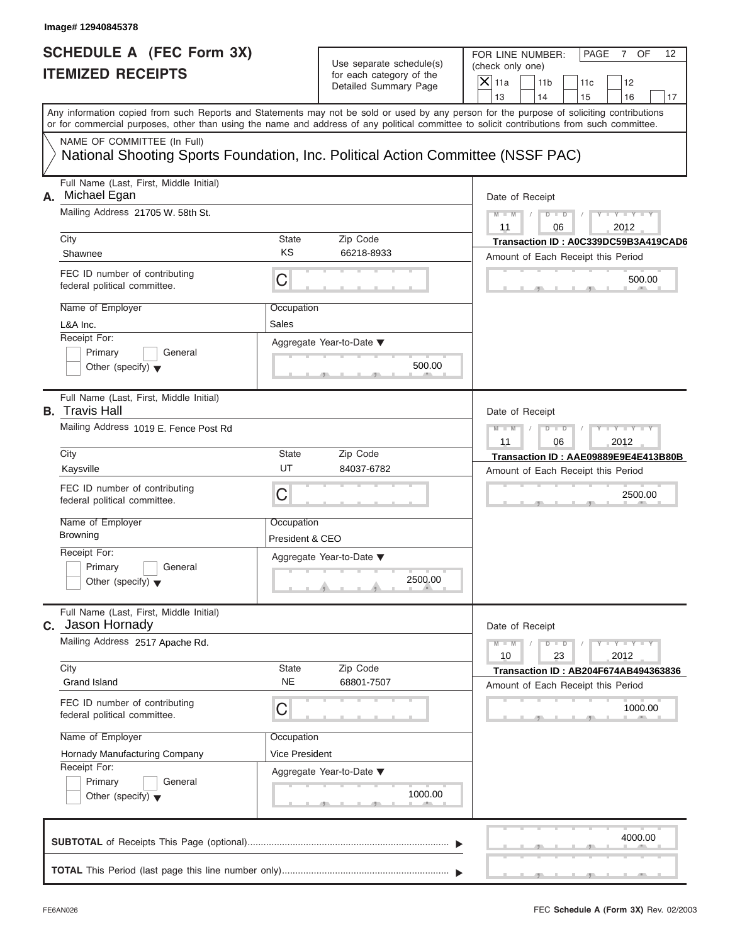| SCHEDULE A (FEC Form 3X) |  |  |
|--------------------------|--|--|
| <b>ITEMIZED RECEIPTS</b> |  |  |

FOR LINE NUMBER: PAGE 7 OF<br>(check only one)

| SCHEDULE A (FEC Form 3X)<br><b>ITEMIZED RECEIPTS</b>                                                                                                                                                                                                                                                                                                                                                      |                                                                                                  | Use separate schedule(s)<br>for each category of the<br>Detailed Summary Page | FOR LINE NUMBER:<br>PAGE<br>OF<br>12<br>7<br>(check only one)<br>$X$ 11a<br>11 <sub>b</sub><br>11c<br>12<br>13<br>14<br>15<br>16<br>17                                         |
|-----------------------------------------------------------------------------------------------------------------------------------------------------------------------------------------------------------------------------------------------------------------------------------------------------------------------------------------------------------------------------------------------------------|--------------------------------------------------------------------------------------------------|-------------------------------------------------------------------------------|--------------------------------------------------------------------------------------------------------------------------------------------------------------------------------|
| Any information copied from such Reports and Statements may not be sold or used by any person for the purpose of soliciting contributions<br>or for commercial purposes, other than using the name and address of any political committee to solicit contributions from such committee.<br>NAME OF COMMITTEE (In Full)<br>National Shooting Sports Foundation, Inc. Political Action Committee (NSSF PAC) |                                                                                                  |                                                                               |                                                                                                                                                                                |
| Full Name (Last, First, Middle Initial)<br>Michael Egan<br>А.<br>Mailing Address 21705 W. 58th St.<br>City<br>Shawnee<br>FEC ID number of contributing<br>federal political committee.<br>Name of Employer<br>L&A Inc.<br>Receipt For:<br>Primary<br>General<br>Other (specify) $\blacktriangledown$                                                                                                      | <b>State</b><br>Zip Code<br>KS<br>С<br>Occupation<br>Sales<br>Aggregate Year-to-Date ▼           | 66218-8933<br>500.00                                                          | Date of Receipt<br>$Y - Y - Y$<br>$M - M$<br>$D$ $D$<br>$\sqrt{2}$<br>2012<br>11<br>06<br>Transaction ID: A0C339DC59B3A419CAD6<br>Amount of Each Receipt this Period<br>500.00 |
| Full Name (Last, First, Middle Initial)<br><b>B.</b> Travis Hall<br>Mailing Address 1019 E. Fence Post Rd<br>City<br>Kaysville<br>FEC ID number of contributing<br>federal political committee.<br>Name of Employer<br><b>Browning</b><br>Receipt For:<br>Primary<br>General<br>Other (specify) $\blacktriangledown$                                                                                      | <b>State</b><br>Zip Code<br>UT<br>С<br>Occupation<br>President & CEO<br>Aggregate Year-to-Date ▼ | 84037-6782<br>2500.00<br>$\mathcal{A}$                                        | Date of Receipt<br>$M - M$<br>$Y - Y - I$<br>$D$ $D$<br>2012<br>11<br>06<br>Transaction ID: AAE09889E9E4E413B80B<br>Amount of Each Receipt this Period<br>2500.00              |
| Full Name (Last, First, Middle Initial)<br>Jason Hornady<br>С.<br>Mailing Address 2517 Apache Rd.<br>City<br><b>Grand Island</b><br>FEC ID number of contributing<br>federal political committee.<br>Name of Employer<br>Hornady Manufacturing Company<br>Receipt For:<br>Primary<br>General<br>Other (specify) $\blacktriangledown$                                                                      | Zip Code<br>State<br>NE<br>C<br>Occupation<br>Vice President<br>Aggregate Year-to-Date ▼         | 68801-7507<br>1000.00                                                         | Date of Receipt<br>$T - Y = Y - T Y$<br>$M - M$<br>$D$ $D$<br>23<br>2012<br>10<br><b>Transaction ID: AB204F674AB494363836</b><br>Amount of Each Receipt this Period<br>1000.00 |
|                                                                                                                                                                                                                                                                                                                                                                                                           |                                                                                                  |                                                                               | 4000.00                                                                                                                                                                        |

S S S , , .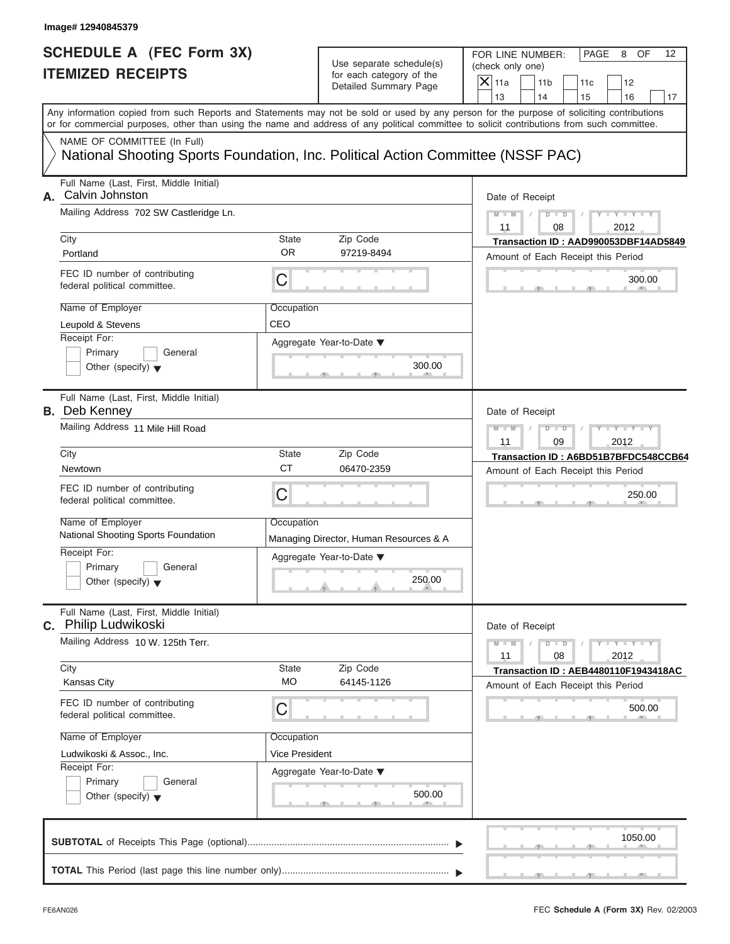| SCHEDULE A (FEC Form 3X) |  |  |
|--------------------------|--|--|
| <b>ITEMIZED RECEIPTS</b> |  |  |

FOR LINE NUMBER: PAGE 8 OF<br>(check only one)

| SCHEDULE A (FEC Form 3X)<br><b>ITEMIZED RECEIPTS</b>                                                                                                                                                                                                                                                                                                                                                      |                                                                | Use separate schedule(s)<br>for each category of the<br>Detailed Summary Page                                        | FOR LINE NUMBER:<br>PAGE<br>8<br>OF<br>12<br>(check only one)<br>$X$   11a<br>11 <sub>b</sub><br>12<br>11c<br>13<br>14<br>16                                                                   |
|-----------------------------------------------------------------------------------------------------------------------------------------------------------------------------------------------------------------------------------------------------------------------------------------------------------------------------------------------------------------------------------------------------------|----------------------------------------------------------------|----------------------------------------------------------------------------------------------------------------------|------------------------------------------------------------------------------------------------------------------------------------------------------------------------------------------------|
| Any information copied from such Reports and Statements may not be sold or used by any person for the purpose of soliciting contributions<br>or for commercial purposes, other than using the name and address of any political committee to solicit contributions from such committee.<br>NAME OF COMMITTEE (In Full)<br>National Shooting Sports Foundation, Inc. Political Action Committee (NSSF PAC) |                                                                |                                                                                                                      | 15<br>17                                                                                                                                                                                       |
| Full Name (Last, First, Middle Initial)<br>Calvin Johnston<br>А.<br>Mailing Address 702 SW Castleridge Ln.<br>City<br>Portland<br>FEC ID number of contributing<br>federal political committee.<br>Name of Employer<br>Leupold & Stevens<br>Receipt For:<br>Primary<br>General<br>Other (specify) $\blacktriangledown$                                                                                    | State<br><b>OR</b><br>C<br>Occupation<br>CEO                   | Zip Code<br>97219-8494<br>Aggregate Year-to-Date ▼<br>300.00                                                         | Date of Receipt<br>$M - M$ /<br>$Y = Y = Y$<br>$D$ $D$<br>11<br>08<br>2012<br>Transaction ID: AAD990053DBF14AD5849<br>Amount of Each Receipt this Period<br>300.00                             |
| Full Name (Last, First, Middle Initial)<br><b>B.</b> Deb Kenney<br>Mailing Address 11 Mile Hill Road<br>City<br>Newtown<br>FEC ID number of contributing<br>federal political committee.<br>Name of Employer<br>National Shooting Sports Foundation<br>Receipt For:<br>Primary<br>General<br>Other (specify) $\blacktriangledown$                                                                         | State<br><b>CT</b><br>C<br>Occupation                          | Zip Code<br>06470-2359<br>Managing Director, Human Resources & A<br>Aggregate Year-to-Date ▼<br>250.00<br><u>. a</u> | Date of Receipt<br>$M - M$<br>$D - D$<br>$-\mathbf{y}$<br>$\sqrt{2}$<br>09<br>2012<br>11<br>Transaction ID: A6BD51B7BFDC548CCB64<br>Amount of Each Receipt this Period<br>250.00               |
| Full Name (Last, First, Middle Initial)<br>Philip Ludwikoski<br>C.<br>Mailing Address 10 W. 125th Terr.<br>City<br>Kansas City<br>FEC ID number of contributing<br>federal political committee.<br>Name of Employer<br>Ludwikoski & Assoc., Inc.<br>Receipt For:<br>Primary<br>General<br>Other (specify) $\blacktriangledown$                                                                            | State<br><b>MO</b><br>C<br>Occupation<br><b>Vice President</b> | Zip Code<br>64145-1126<br>Aggregate Year-to-Date ▼<br>500.00                                                         | Date of Receipt<br>$T - Y = Y - T Y$<br>$M - M$<br>$\overline{D}$<br>$\Box$<br>11<br>08<br>2012<br><b>Transaction ID: AEB4480110F1943418AC</b><br>Amount of Each Receipt this Period<br>500.00 |
|                                                                                                                                                                                                                                                                                                                                                                                                           |                                                                |                                                                                                                      | 1050.00                                                                                                                                                                                        |

S S S , , .

a.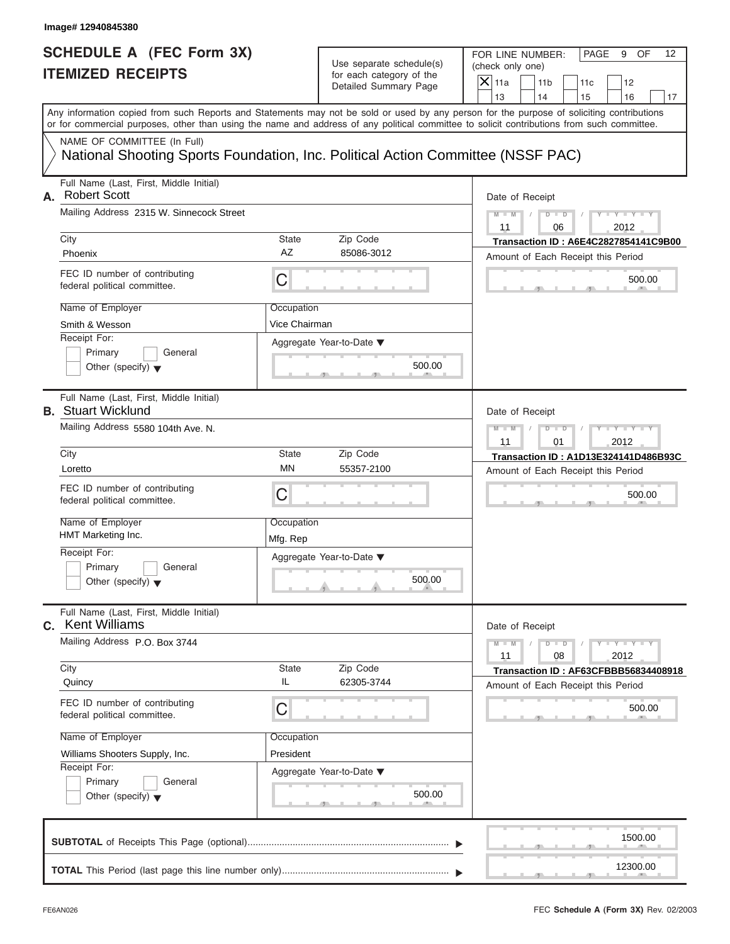| SCHEDULE A (FEC Form 3X) |  |  |
|--------------------------|--|--|
| <b>ITEMIZED RECEIPTS</b> |  |  |

FOR LINE NUMBER: PAGE 9 OF<br>(check only one)

| SCHEDULE A (FEC Form 3X)                                                                                                                                                                                                                                                                |                             | Use separate schedule(s)                          | FOR LINE NUMBER:<br>PAGE<br>9<br>OF<br>12<br>(check only one)                    |
|-----------------------------------------------------------------------------------------------------------------------------------------------------------------------------------------------------------------------------------------------------------------------------------------|-----------------------------|---------------------------------------------------|----------------------------------------------------------------------------------|
| <b>ITEMIZED RECEIPTS</b>                                                                                                                                                                                                                                                                |                             | for each category of the<br>Detailed Summary Page | $\overline{X}$ 11a<br>11 <sub>b</sub><br>12<br>11c<br>13<br>14<br>15<br>16<br>17 |
| Any information copied from such Reports and Statements may not be sold or used by any person for the purpose of soliciting contributions<br>or for commercial purposes, other than using the name and address of any political committee to solicit contributions from such committee. |                             |                                                   |                                                                                  |
| NAME OF COMMITTEE (In Full)<br>National Shooting Sports Foundation, Inc. Political Action Committee (NSSF PAC)                                                                                                                                                                          |                             |                                                   |                                                                                  |
| Full Name (Last, First, Middle Initial)<br><b>Robert Scott</b><br>А.                                                                                                                                                                                                                    |                             |                                                   | Date of Receipt                                                                  |
| Mailing Address 2315 W. Sinnecock Street<br>City                                                                                                                                                                                                                                        | State                       | Zip Code                                          | $Y - Y - Y$<br>$M - M$<br>$D$ $D$<br>2012<br>06<br>11                            |
| Phoenix                                                                                                                                                                                                                                                                                 | AZ                          | 85086-3012                                        | Transaction ID: A6E4C2827854141C9B00<br>Amount of Each Receipt this Period       |
| FEC ID number of contributing<br>federal political committee.                                                                                                                                                                                                                           | С                           |                                                   | 500.00                                                                           |
| Name of Employer<br>Smith & Wesson                                                                                                                                                                                                                                                      | Occupation<br>Vice Chairman |                                                   |                                                                                  |
| Receipt For:<br>Primary<br>General<br>Other (specify) $\blacktriangledown$                                                                                                                                                                                                              |                             | Aggregate Year-to-Date ▼<br>500.00<br>$-7$        |                                                                                  |
| Full Name (Last, First, Middle Initial)<br><b>B.</b> Stuart Wicklund                                                                                                                                                                                                                    |                             |                                                   | Date of Receipt                                                                  |
| Mailing Address 5580 104th Ave. N.                                                                                                                                                                                                                                                      |                             |                                                   | $M - M$<br>$D - D$<br>$-Y$<br>2012<br>11<br>01                                   |
| City                                                                                                                                                                                                                                                                                    | <b>State</b>                | Zip Code                                          | Transaction ID: A1D13E324141D486B93C                                             |
| Loretto                                                                                                                                                                                                                                                                                 | MN                          | 55357-2100                                        | Amount of Each Receipt this Period                                               |
| FEC ID number of contributing<br>federal political committee.                                                                                                                                                                                                                           | С                           |                                                   | 500.00                                                                           |
| Name of Employer<br>HMT Marketing Inc.                                                                                                                                                                                                                                                  | Occupation<br>Mfg. Rep      |                                                   |                                                                                  |
| Receipt For:                                                                                                                                                                                                                                                                            |                             | Aggregate Year-to-Date ▼                          |                                                                                  |
| Primary<br>General<br>Other (specify) $\blacktriangledown$                                                                                                                                                                                                                              |                             | 500.00                                            |                                                                                  |
| Full Name (Last, First, Middle Initial)<br><b>Kent Williams</b><br>C.                                                                                                                                                                                                                   |                             |                                                   | Date of Receipt                                                                  |
| Mailing Address P.O. Box 3744                                                                                                                                                                                                                                                           |                             |                                                   | $Y - Y - Y - Y$<br>$M - M$<br>$\overline{D}$<br>$\Box$<br>08<br>2012<br>11       |
| City                                                                                                                                                                                                                                                                                    | <b>State</b><br>IL          | Zip Code                                          | Transaction ID: AF63CFBBB56834408918                                             |
| Quincy<br>FEC ID number of contributing<br>federal political committee.                                                                                                                                                                                                                 | C                           | 62305-3744                                        | Amount of Each Receipt this Period<br>500.00                                     |
| Name of Employer                                                                                                                                                                                                                                                                        | Occupation                  |                                                   |                                                                                  |
| Williams Shooters Supply, Inc.                                                                                                                                                                                                                                                          | President                   |                                                   |                                                                                  |
| Receipt For:<br>Primary<br>General<br>Other (specify) $\blacktriangledown$                                                                                                                                                                                                              |                             | Aggregate Year-to-Date ▼<br>500.00                |                                                                                  |
|                                                                                                                                                                                                                                                                                         |                             |                                                   | 1500.00                                                                          |
|                                                                                                                                                                                                                                                                                         |                             |                                                   | 12300.00                                                                         |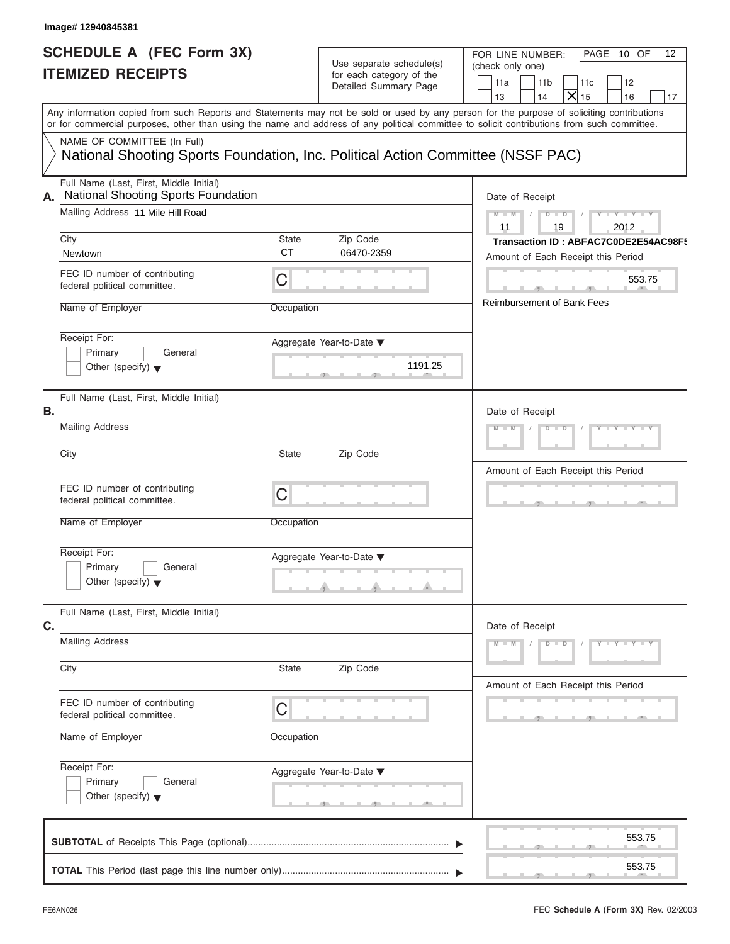# **SCHEDULE A (FEC Form 3X) ITEMIZED RECEIPTS**

| Image# 12940845381                                                                                                               |                                                                                       |                                                                               |                                                                                                                                                                                                                                                                                         |  |
|----------------------------------------------------------------------------------------------------------------------------------|---------------------------------------------------------------------------------------|-------------------------------------------------------------------------------|-----------------------------------------------------------------------------------------------------------------------------------------------------------------------------------------------------------------------------------------------------------------------------------------|--|
| <b>SCHEDULE A (FEC Form 3X)</b><br><b>ITEMIZED RECEIPTS</b>                                                                      |                                                                                       | Use separate schedule(s)<br>for each category of the<br>Detailed Summary Page | FOR LINE NUMBER:<br>PAGE 10 OF<br>12<br>(check only one)<br>11a<br>11 <sub>b</sub><br>11c<br>12<br>$\mathsf{X}$ 15<br>14<br>13<br>16<br>17                                                                                                                                              |  |
|                                                                                                                                  |                                                                                       |                                                                               | Any information copied from such Reports and Statements may not be sold or used by any person for the purpose of soliciting contributions<br>or for commercial purposes, other than using the name and address of any political committee to solicit contributions from such committee. |  |
| NAME OF COMMITTEE (In Full)<br>National Shooting Sports Foundation, Inc. Political Action Committee (NSSF PAC)                   |                                                                                       |                                                                               |                                                                                                                                                                                                                                                                                         |  |
| Full Name (Last, First, Middle Initial)<br><b>National Shooting Sports Foundation</b><br>А.<br>Mailing Address 11 Mile Hill Road | Date of Receipt<br>$D$ $\Box$ $D$ $/$<br>$Y - Y - Y - Y - Y$<br>$M - M$<br>$\sqrt{2}$ |                                                                               |                                                                                                                                                                                                                                                                                         |  |
| City<br>Newtown                                                                                                                  | <b>State</b><br><b>CT</b>                                                             | Zip Code<br>06470-2359                                                        | 11<br>19<br>2012<br>Transaction ID: ABFAC7C0DE2E54AC98F5<br>Amount of Each Receipt this Period                                                                                                                                                                                          |  |
| FEC ID number of contributing<br>federal political committee.                                                                    | C                                                                                     |                                                                               | 553.75                                                                                                                                                                                                                                                                                  |  |
| Name of Employer                                                                                                                 | Occupation                                                                            |                                                                               | <b>Reimbursement of Bank Fees</b>                                                                                                                                                                                                                                                       |  |
| Receipt For:<br>Primary<br>General<br>Other (specify) $\blacktriangledown$                                                       |                                                                                       | Aggregate Year-to-Date ▼<br>1191.25                                           |                                                                                                                                                                                                                                                                                         |  |
| Full Name (Last, First, Middle Initial)<br>В.                                                                                    |                                                                                       |                                                                               | Date of Receipt<br>$Y = Y = Y' + Y' + Y$<br>$M - M$<br>$D$ $D$                                                                                                                                                                                                                          |  |
| <b>Mailing Address</b>                                                                                                           |                                                                                       |                                                                               |                                                                                                                                                                                                                                                                                         |  |
| City                                                                                                                             | State                                                                                 | Zip Code                                                                      | Amount of Each Receipt this Period                                                                                                                                                                                                                                                      |  |
| FEC ID number of contributing<br>federal political committee.                                                                    | $\mathsf C$                                                                           |                                                                               | $\mathbf{1}$                                                                                                                                                                                                                                                                            |  |
| Name of Employer                                                                                                                 | Occupation                                                                            |                                                                               |                                                                                                                                                                                                                                                                                         |  |
| Receipt For:<br>Primary<br>General<br>Other (specify) $\blacktriangledown$                                                       |                                                                                       | Aggregate Year-to-Date ▼                                                      |                                                                                                                                                                                                                                                                                         |  |
| Full Name (Last, First, Middle Initial)<br>C.                                                                                    | Date of Receipt                                                                       |                                                                               |                                                                                                                                                                                                                                                                                         |  |
| <b>Mailing Address</b>                                                                                                           |                                                                                       |                                                                               | $M - M$<br>$D$ $D$<br>$Y - Y - Y - Y - Y$                                                                                                                                                                                                                                               |  |
| City                                                                                                                             | State                                                                                 | Zip Code                                                                      | Amount of Each Receipt this Period                                                                                                                                                                                                                                                      |  |
| FEC ID number of contributing<br>federal political committee.                                                                    | C                                                                                     |                                                                               |                                                                                                                                                                                                                                                                                         |  |
| Name of Employer                                                                                                                 | Occupation                                                                            |                                                                               |                                                                                                                                                                                                                                                                                         |  |
| Receipt For:<br>Primary<br>General<br>Other (specify) $\blacktriangledown$                                                       |                                                                                       | Aggregate Year-to-Date ▼                                                      |                                                                                                                                                                                                                                                                                         |  |
|                                                                                                                                  |                                                                                       |                                                                               | 553.75                                                                                                                                                                                                                                                                                  |  |
|                                                                                                                                  |                                                                                       |                                                                               | 553.75                                                                                                                                                                                                                                                                                  |  |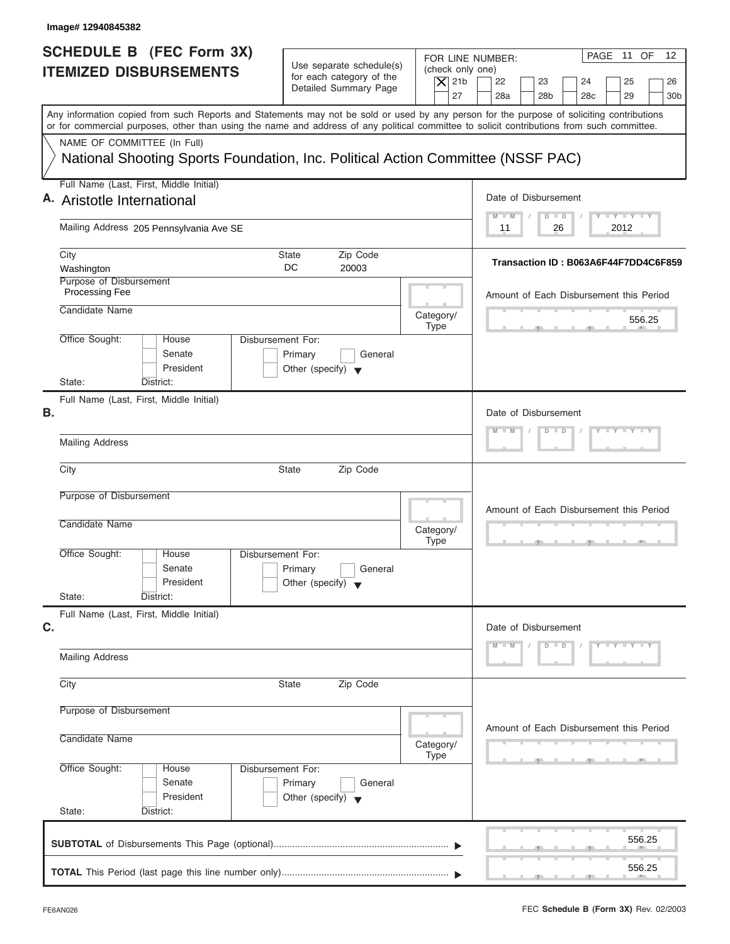| Image# 12940845382                                                                                                                                                                                                                                                                      |                                                                               |                                                                  |                                                                                                                                     |
|-----------------------------------------------------------------------------------------------------------------------------------------------------------------------------------------------------------------------------------------------------------------------------------------|-------------------------------------------------------------------------------|------------------------------------------------------------------|-------------------------------------------------------------------------------------------------------------------------------------|
| SCHEDULE B (FEC Form 3X)<br><b>ITEMIZED DISBURSEMENTS</b>                                                                                                                                                                                                                               | Use separate schedule(s)<br>for each category of the<br>Detailed Summary Page | FOR LINE NUMBER:<br>(check only one)<br>$\overline{X}$ 21b<br>27 | PAGE 11 OF<br>$12 \overline{ }$<br>22<br>23<br>24<br>25<br>26<br>28a<br>28 <sub>b</sub><br>28 <sub>c</sub><br>29<br>30 <sub>b</sub> |
| Any information copied from such Reports and Statements may not be sold or used by any person for the purpose of soliciting contributions<br>or for commercial purposes, other than using the name and address of any political committee to solicit contributions from such committee. |                                                                               |                                                                  |                                                                                                                                     |
| NAME OF COMMITTEE (In Full)<br>National Shooting Sports Foundation, Inc. Political Action Committee (NSSF PAC)                                                                                                                                                                          |                                                                               |                                                                  |                                                                                                                                     |
| Full Name (Last, First, Middle Initial)<br>A. Aristotle International                                                                                                                                                                                                                   | Date of Disbursement                                                          |                                                                  |                                                                                                                                     |
| Mailing Address 205 Pennsylvania Ave SE                                                                                                                                                                                                                                                 | $T - Y = T - Y = T - Y$<br>$M$ $M$<br>$D$ $D$<br>2012<br>11<br>26             |                                                                  |                                                                                                                                     |
| City<br>Washington                                                                                                                                                                                                                                                                      | Zip Code<br>State<br>DC.<br>20003                                             |                                                                  | Transaction ID: B063A6F44F7DD4C6F859                                                                                                |
| Purpose of Disbursement<br>Processing Fee                                                                                                                                                                                                                                               |                                                                               | Amount of Each Disbursement this Period                          |                                                                                                                                     |
| Candidate Name                                                                                                                                                                                                                                                                          |                                                                               | Category/<br><b>Type</b>                                         | 556.25                                                                                                                              |
| Office Sought:<br>Disbursement For:<br>House<br>Senate<br>President<br>State:<br>District:                                                                                                                                                                                              | Primary<br>General<br>Other (specify) $\blacktriangledown$                    |                                                                  |                                                                                                                                     |
| Full Name (Last, First, Middle Initial)<br>Β.                                                                                                                                                                                                                                           |                                                                               | Date of Disbursement                                             |                                                                                                                                     |
| <b>Mailing Address</b>                                                                                                                                                                                                                                                                  | $T - Y = Y - T Y$<br>$D$ $D$                                                  |                                                                  |                                                                                                                                     |
| City                                                                                                                                                                                                                                                                                    | <b>State</b><br>Zip Code                                                      |                                                                  |                                                                                                                                     |
| Purpose of Disbursement<br>Candidate Name                                                                                                                                                                                                                                               | Amount of Each Disbursement this Period                                       |                                                                  |                                                                                                                                     |
|                                                                                                                                                                                                                                                                                         |                                                                               | Category/<br><b>Type</b>                                         | $\overline{\phantom{a}}$                                                                                                            |
| Office Sought:<br>House<br>Disbursement For:<br>Senate<br>President<br>State:<br>District:                                                                                                                                                                                              | Primary<br>General<br>Other (specify)                                         |                                                                  |                                                                                                                                     |
| Full Name (Last, First, Middle Initial)                                                                                                                                                                                                                                                 |                                                                               |                                                                  |                                                                                                                                     |
| C.<br><b>Mailing Address</b>                                                                                                                                                                                                                                                            | Date of Disbursement<br>$Y - Y - Y - Y - Y$<br>$M - M$<br>$D$ $D$             |                                                                  |                                                                                                                                     |
| City                                                                                                                                                                                                                                                                                    | Zip Code<br><b>State</b>                                                      |                                                                  |                                                                                                                                     |
| Purpose of Disbursement                                                                                                                                                                                                                                                                 |                                                                               |                                                                  |                                                                                                                                     |
| Candidate Name                                                                                                                                                                                                                                                                          | Amount of Each Disbursement this Period                                       |                                                                  |                                                                                                                                     |
| Office Sought:<br>Disbursement For:<br>House<br>Senate<br>President<br>State:<br>District:                                                                                                                                                                                              | Primary<br>General<br>Other (specify) $\blacktriangledown$                    | <b>Type</b>                                                      |                                                                                                                                     |
|                                                                                                                                                                                                                                                                                         |                                                                               |                                                                  | 556.25                                                                                                                              |
|                                                                                                                                                                                                                                                                                         |                                                                               |                                                                  | 556.25                                                                                                                              |